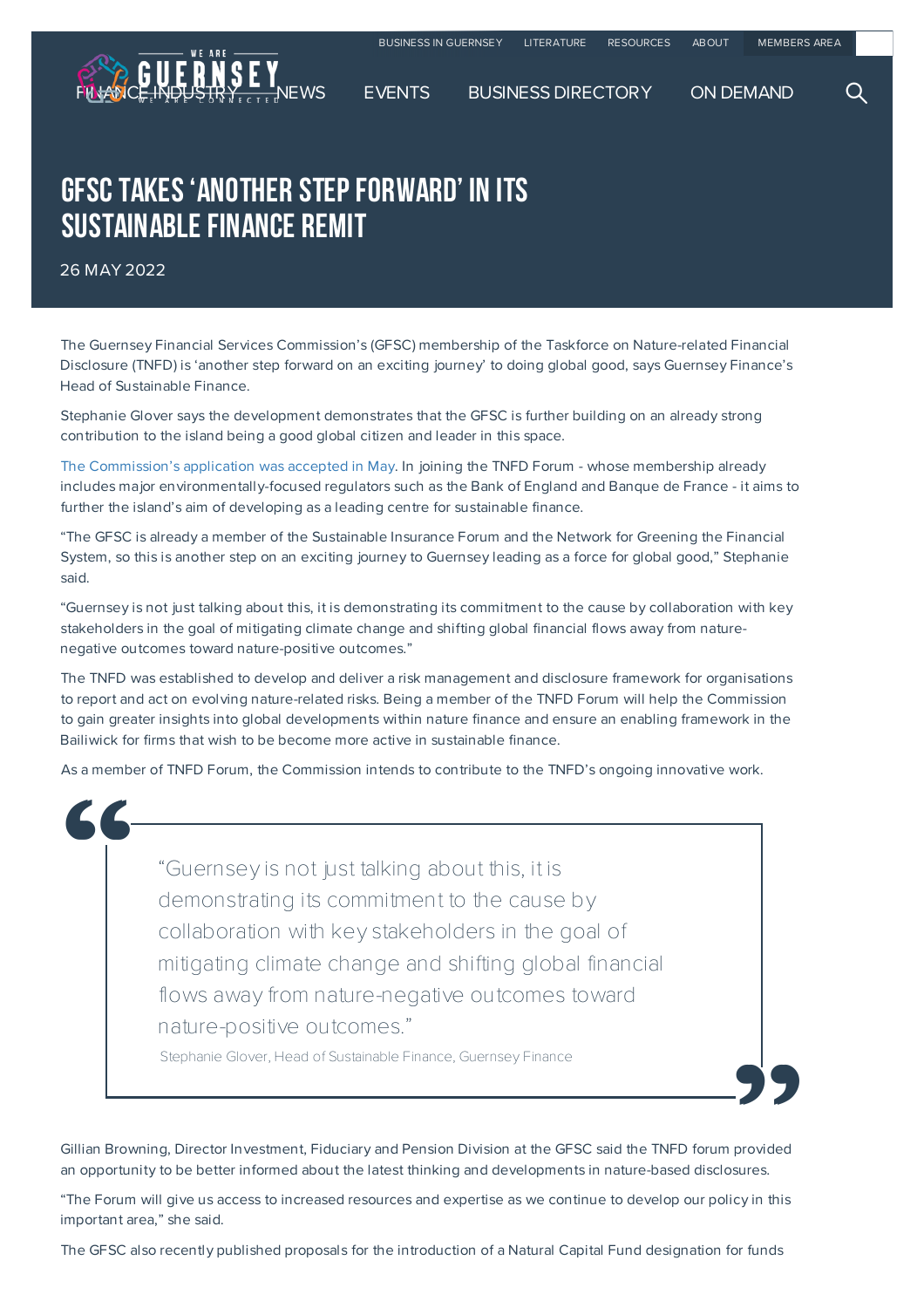

## **GFSC TAKES 'ANOTHER STEP FORWARD' IN ITS** SUSTAINABLE FINANCE REMIT

26 MAY 2022

The Guernsey Financial Services Commission's (GFSC) membership of the Taskforce on Nature-related Financial Disclosure (TNFD) is 'another step forward on an exciting journey' to doing global good, says Guernsey Finance's Head of Sustainable Finance.

Stephanie Glover says the development demonstrates that the GFSC is further building on an already strong contribution to the island being a good global citizen and leader in this space.

The Commission's application was accepted in May. In joining the TNFD Forum - whose membership already includes major environmentally-focused regulators such as the Bank of England and Banque de France - it aims to further the island's aim of developing as a leading centre for sustainable finance.

"The GFSC is already a member of the Sustainable Insurance Forum and the Network for Greening the Financial System, so this is another step on an exciting journey to Guernsey leading as a force for global good," Stephanie said.

"Guernsey is not just talking about this, it is demonstrating its commitment to the cause by collaboration with key stakeholders in the goal of mitigating climate change and shifting global financial flows away from naturenegative outcomes toward nature-positive outcomes."

The TNFD was established to develop and deliver a risk management and disclosure framework for organisations to report and act on evolving nature-related risks. Being a member of the TNFD Forum will help the Commission to gain greater insights into global developments within nature finance and ensure an enabling framework in the Bailiwick for firms that wish to be become more active in sustainable finance.

As a member of TNFD Forum, the Commission intends to contribute to the TNFD's ongoing innovative work.

"Guernsey is not just talking about this, it is demonstrating its commitment to the cause by collaboration with key stakeholders in the goal of mitigating climate change and shifting global financial flows away from nature-negative outcomes toward nature-positive outcomes."  $\begin{bmatrix} 6 & 1 \\ 1 & 1 \\ 1 & 1 \\ 1 & 1 \end{bmatrix}$ 

Stephanie Glover, Head of Sustainable Finance, Guernsey Finance

Gillian Browning, Director Investment, Fiduciary and Pension Division at the GFSC said the TNFD forum provided an opportunity to be better informed about the latest thinking and developments in nature-based disclosures. provided<br>sures.<br>cy in this

"The Forum will give us access to increased resources and expertise as we continue to develop our policy in this important area," she said.

The GFSC also recently published proposals for the introduction of a Natural Capital Fund designation for funds